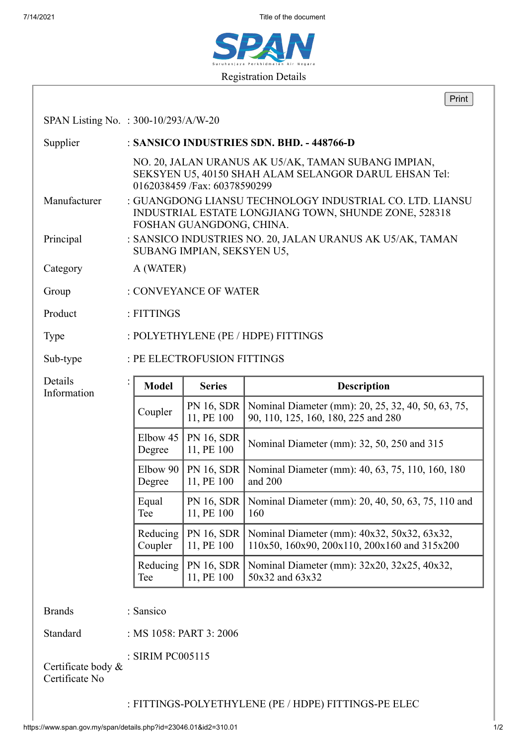7/14/2021 Title of the document



|                                      |                                           |                                                                                                                                               |                                 | Print                                                                                       |  |
|--------------------------------------|-------------------------------------------|-----------------------------------------------------------------------------------------------------------------------------------------------|---------------------------------|---------------------------------------------------------------------------------------------|--|
| SPAN Listing No. : 300-10/293/A/W-20 |                                           |                                                                                                                                               |                                 |                                                                                             |  |
| Supplier                             | : SANSICO INDUSTRIES SDN. BHD. - 448766-D |                                                                                                                                               |                                 |                                                                                             |  |
|                                      |                                           | NO. 20, JALAN URANUS AK U5/AK, TAMAN SUBANG IMPIAN,<br>SEKSYEN U5, 40150 SHAH ALAM SELANGOR DARUL EHSAN Tel:<br>0162038459 / Fax: 60378590299 |                                 |                                                                                             |  |
| Manufacturer                         |                                           | : GUANGDONG LIANSU TECHNOLOGY INDUSTRIAL CO. LTD. LIANSU<br>INDUSTRIAL ESTATE LONGJIANG TOWN, SHUNDE ZONE, 528318<br>FOSHAN GUANGDONG, CHINA. |                                 |                                                                                             |  |
| Principal                            |                                           | : SANSICO INDUSTRIES NO. 20, JALAN URANUS AK U5/AK, TAMAN<br>SUBANG IMPIAN, SEKSYEN U5,                                                       |                                 |                                                                                             |  |
| Category                             |                                           | A (WATER)                                                                                                                                     |                                 |                                                                                             |  |
| Group                                | : CONVEYANCE OF WATER                     |                                                                                                                                               |                                 |                                                                                             |  |
| Product                              | : FITTINGS                                |                                                                                                                                               |                                 |                                                                                             |  |
| Type                                 |                                           | : POLYETHYLENE (PE / HDPE) FITTINGS                                                                                                           |                                 |                                                                                             |  |
| Sub-type                             |                                           |                                                                                                                                               | : PE ELECTROFUSION FITTINGS     |                                                                                             |  |
| Details<br>Information               | $\colon$                                  | <b>Model</b>                                                                                                                                  | <b>Series</b>                   | <b>Description</b>                                                                          |  |
|                                      |                                           | Coupler                                                                                                                                       | PN 16, SDR<br>11, PE 100        | Nominal Diameter (mm): 20, 25, 32, 40, 50, 63, 75,<br>90, 110, 125, 160, 180, 225 and 280   |  |
|                                      |                                           | Elbow 45<br>Degree                                                                                                                            | <b>PN 16, SDR</b><br>11, PE 100 | Nominal Diameter (mm): 32, 50, 250 and 315                                                  |  |
|                                      |                                           | Elbow $90$<br>Degree                                                                                                                          | PN 16, SDR<br>11, PE 100        | Nominal Diameter (mm): 40, 63, 75, 110, 160, 180<br>and 200                                 |  |
|                                      |                                           | Equal<br>Tee                                                                                                                                  | <b>PN 16, SDR</b><br>11, PE 100 | Nominal Diameter (mm): 20, 40, 50, 63, 75, 110 and<br>160                                   |  |
|                                      |                                           | Reducing<br>Coupler                                                                                                                           | PN 16, SDR<br>11, PE 100        | Nominal Diameter (mm): 40x32, 50x32, 63x32,<br>110x50, 160x90, 200x110, 200x160 and 315x200 |  |
|                                      |                                           | Reducing                                                                                                                                      | PN 16, SDR<br>11, PE 100        | Nominal Diameter (mm): 32x20, 32x25, 40x32,<br>50x32 and 63x32                              |  |
|                                      |                                           | Tee                                                                                                                                           |                                 |                                                                                             |  |
| <b>Brands</b>                        |                                           | : Sansico                                                                                                                                     |                                 |                                                                                             |  |
| Standard                             |                                           |                                                                                                                                               | : MS 1058: PART 3: 2006         |                                                                                             |  |

: FITTINGS-POLYETHYLENE (PE / HDPE) FITTINGS-PE ELEC